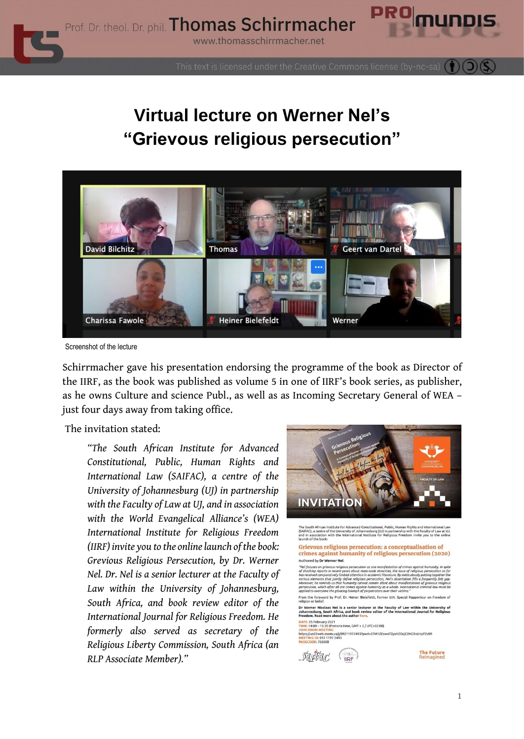

This text is licensed under the Creative Commons license (by-nc-sa)

## **Virtual lecture on Werner Nel's "Grievous religious persecution"**



Screenshot of the lecture

Schirrmacher gave his presentation endorsing the programme of the book as Director of the IIRF, as the book was published as volume 5 in one of IIRF's book series, as publisher, as he owns Culture and science Publ., as well as as Incoming Secretary General of WEA – just four days away from taking office.

The invitation stated:

*"The South African Institute for Advanced Constitutional, Public, Human Rights and International Law (SAIFAC), a centre of the University of Johannesburg (UJ) in partnership with the Faculty of Law at UJ, and in association with the World Evangelical Alliance's (WEA) International Institute for Religious Freedom (IIRF) invite you to the online launch of the book: Grevious Religious Persecution, by Dr. Werner Nel. Dr. Nel is a senior lecturer at the Faculty of Law within the University of Johannesburg, South Africa, and book review editor of the International Journal for Religious Freedom. He formerly also served as secretary of the Religious Liberty Commission, South Africa (an RLP Associate Member)."*